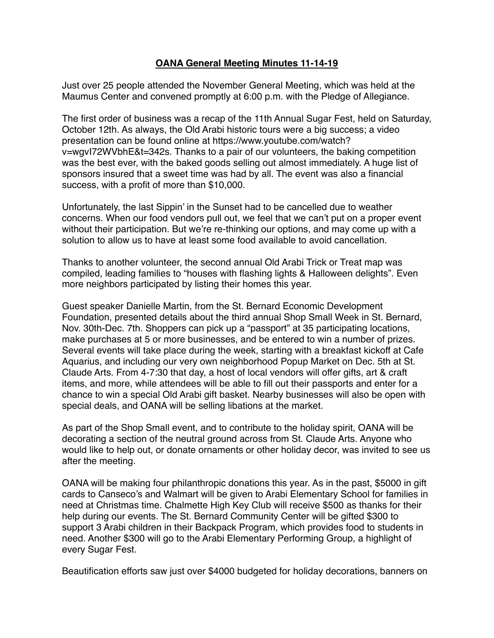## **OANA General Meeting Minutes 11-14-19**

Just over 25 people attended the November General Meeting, which was held at the Maumus Center and convened promptly at 6:00 p.m. with the Pledge of Allegiance.

The first order of business was a recap of the 11th Annual Sugar Fest, held on Saturday, October 12th. As always, the Old Arabi historic tours were a big success; a video presentation can be found online at [https://www.youtube.com/watch?](https://www.youtube.com/watch?v=wgvI72WVbhE&t=342s) [v=wgvI72WVbhE&t=342s](https://www.youtube.com/watch?v=wgvI72WVbhE&t=342s). Thanks to a pair of our volunteers, the baking competition was the best ever, with the baked goods selling out almost immediately. A huge list of sponsors insured that a sweet time was had by all. The event was also a financial success, with a profit of more than \$10,000.

Unfortunately, the last Sippin' in the Sunset had to be cancelled due to weather concerns. When our food vendors pull out, we feel that we can't put on a proper event without their participation. But we're re-thinking our options, and may come up with a solution to allow us to have at least some food available to avoid cancellation.

Thanks to another volunteer, the second annual Old Arabi Trick or Treat map was compiled, leading families to "houses with flashing lights & Halloween delights". Even more neighbors participated by listing their homes this year.

Guest speaker Danielle Martin, from the St. Bernard Economic Development Foundation, presented details about the third annual Shop Small Week in St. Bernard, Nov. 30th-Dec. 7th. Shoppers can pick up a "passport" at 35 participating locations, make purchases at 5 or more businesses, and be entered to win a number of prizes. Several events will take place during the week, starting with a breakfast kickoff at Cafe Aquarius, and including our very own neighborhood Popup Market on Dec. 5th at St. Claude Arts. From 4-7:30 that day, a host of local vendors will offer gifts, art & craft items, and more, while attendees will be able to fill out their passports and enter for a chance to win a special Old Arabi gift basket. Nearby businesses will also be open with special deals, and OANA will be selling libations at the market.

As part of the Shop Small event, and to contribute to the holiday spirit, OANA will be decorating a section of the neutral ground across from St. Claude Arts. Anyone who would like to help out, or donate ornaments or other holiday decor, was invited to see us after the meeting.

OANA will be making four philanthropic donations this year. As in the past, \$5000 in gift cards to Canseco's and Walmart will be given to Arabi Elementary School for families in need at Christmas time. Chalmette High Key Club will receive \$500 as thanks for their help during our events. The St. Bernard Community Center will be gifted \$300 to support 3 Arabi children in their Backpack Program, which provides food to students in need. Another \$300 will go to the Arabi Elementary Performing Group, a highlight of every Sugar Fest.

Beautification efforts saw just over \$4000 budgeted for holiday decorations, banners on